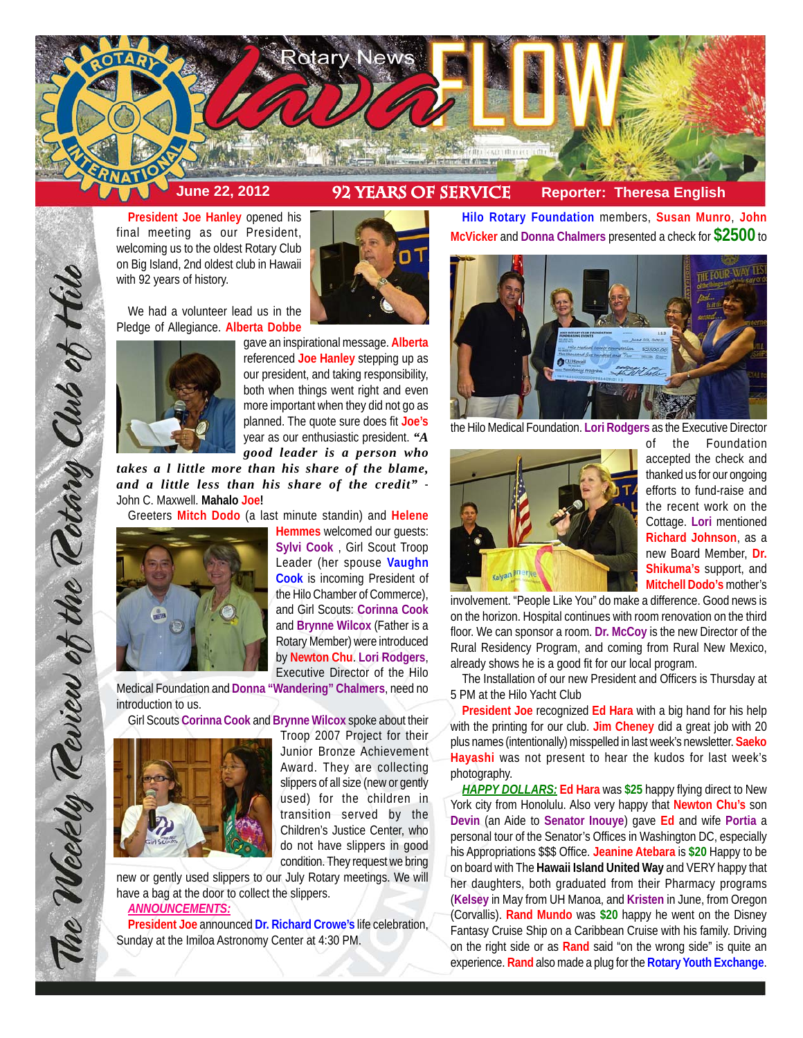

n

**President Joe Hanley** opened his final meeting as our President, welcoming us to the oldest Rotary Club on Big Island, 2nd oldest club in Hawaii with 92 years of history.

We had a volunteer lead us in the Pledge of Allegiance. **Alberta Dobbe**



gave an inspirational message. **Alberta** referenced **Joe Hanley** stepping up as our president, and taking responsibility, both when things went right and even more important when they did not go as planned. The quote sure does fit **Joe's** year as our enthusiastic president. *"A good leader is a person who*

*takes a l little more than his share of the blame, and a little less than his share of the credit"* - John C. Maxwell. **Mahalo Joe!**

Greeters **Mitch Dodo** (a last minute standin) and **Helene**



The Weekly Teview of the Tetary Club of Hilo

**Hemmes** welcomed our guests: **Sylvi Cook** , Girl Scout Troop Leader (her spouse **Vaughn Cook** is incoming President of the Hilo Chamber of Commerce), and Girl Scouts: **Corinna Cook** and **Brynne Wilcox** (Father is a Rotary Member) were introduced by **Newton Chu**. **Lori Rodgers**, Executive Director of the Hilo

Medical Foundation and **Donna "Wandering" Chalmers**, need no introduction to us.

Girl Scouts **Corinna Cook** and **Brynne Wilcox** spoke about their



Troop 2007 Project for their Junior Bronze Achievement Award. They are collecting slippers of all size (new or gently used) for the children in transition served by the Children's Justice Center, who do not have slippers in good condition. They request we bring

new or gently used slippers to our July Rotary meetings. We will have a bag at the door to collect the slippers.

### *ANNOUNCEMENTS:*

**President Joe** announced **Dr. Richard Crowe's** life celebration, Sunday at the Imiloa Astronomy Center at 4:30 PM.

**Hilo Rotary Foundation** members, **Susan Munro**, **John McVicker** and **Donna Chalmers** presented a check for **\$2500** to



the Hilo Medical Foundation. **Lori Rodgers** as the Executive Director



of the Foundation accepted the check and thanked us for our ongoing efforts to fund-raise and the recent work on the Cottage. **Lori** mentioned **Richard Johnson**, as a new Board Member, **Dr. Shikuma's** support, and **Mitchell Dodo's** mother's

involvement. "People Like You" do make a difference. Good news is on the horizon. Hospital continues with room renovation on the third floor. We can sponsor a room. **Dr. McCoy** is the new Director of the Rural Residency Program, and coming from Rural New Mexico, already shows he is a good fit for our local program.

The Installation of our new President and Officers is Thursday at 5 PM at the Hilo Yacht Club

**President Joe** recognized **Ed Hara** with a big hand for his help with the printing for our club. **Jim Cheney** did a great job with 20 plus names (intentionally) misspelled in last week's newsletter. **Saeko Hayashi** was not present to hear the kudos for last week's photography.

*HAPPY DOLLARS:* **Ed Hara** was **\$25** happy flying direct to New York city from Honolulu. Also very happy that **Newton Chu's** son **Devin** (an Aide to **Senator Inouye**) gave **Ed** and wife **Portia** a personal tour of the Senator's Offices in Washington DC, especially his Appropriations \$\$\$ Office. **Jeanine Atebara** is **\$20** Happy to be on board with The **Hawaii Island United Way** and VERY happy that her daughters, both graduated from their Pharmacy programs (**Kelsey** in May from UH Manoa, and **Kristen** in June, from Oregon (Corvallis). **Rand Mundo** was **\$20** happy he went on the Disney Fantasy Cruise Ship on a Caribbean Cruise with his family. Driving on the right side or as **Rand** said "on the wrong side" is quite an experience. **Rand** also made a plug for the **Rotary Youth Exchange**.